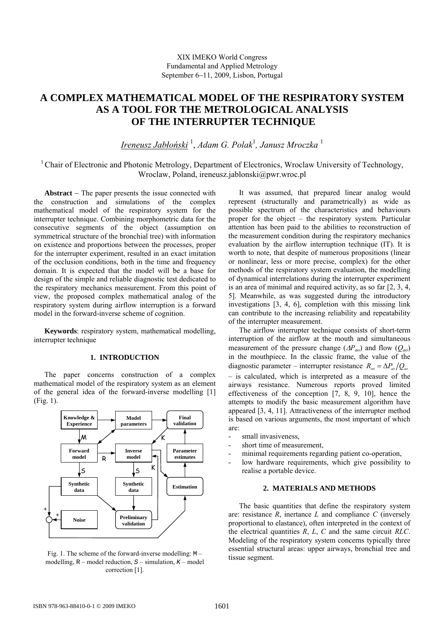# **A COMPLEX MATHEMATICAL MODEL OF THE RESPIRATORY SYSTEM AS A TOOL FOR THE METROLOGICAL ANALYSIS OF THE INTERRUPTER TECHNIQUE**

*Ireneusz Jabłoński* <sup>1</sup> , *Adam G. Polak*<sup>1</sup> *, Janusz Mroczka* <sup>1</sup>

1 Chair of Electronic and Photonic Metrology, Department of Electronics, Wroclaw University of Technology, Wroclaw, Poland, ireneusz.jablonski@pwr.wroc.pl

**Abstract** − The paper presents the issue connected with the construction and simulations of the complex mathematical model of the respiratory system for the interrupter technique. Combining morphometric data for the consecutive segments of the object (assumption on symmetrical structure of the bronchial tree) with information on existence and proportions between the processes, proper for the interrupter experiment, resulted in an exact imitation of the occlusion conditions, both in the time and frequency domain. It is expected that the model will be a base for design of the simple and reliable diagnostic test dedicated to the respiratory mechanics measurement. From this point of view, the proposed complex mathematical analog of the respiratory system during airflow interruption is a forward model in the forward-inverse scheme of cognition.

**Keywords**: respiratory system, mathematical modelling, interrupter technique

# **1. INTRODUCTION**

The paper concerns construction of a complex mathematical model of the respiratory system as an element of the general idea of the forward-inverse modelling [1] (Fig. 1).



Fig. 1. The scheme of the forward-inverse modelling: M – modelling,  $R$  – model reduction,  $S$  – simulation,  $K$  – model correction [1].

It was assumed, that prepared linear analog would represent (structurally and parametrically) as wide as possible spectrum of the characteristics and behaviours proper for the object – the respiratory system. Particular attention has been paid to the abilities to reconstruction of the measurement condition during the respiratory mechanics evaluation by the airflow interruption technique (IT). It is worth to note, that despite of numerous propositions (linear or nonlinear, less or more precise, complex) for the other methods of the respiratory system evaluation, the modelling of dynamical interrelations during the interrupter experiment is an area of minimal and required activity, as so far [2, 3, 4, 5]. Meanwhile, as was suggested during the introductory investigations [3, 4, 6], completion with this missing link can contribute to the increasing reliability and repeatability of the interrupter measurement.

The airflow interrupter technique consists of short-term interruption of the airflow at the mouth and simultaneous measurement of the pressure change (∆*Pao*) and flow (*Qao*) in the mouthpiece. In the classic frame, the value of the diagnostic parameter – interrupter resistance  $R_{\mu} = \Delta P_{\mu}/Q_{\mu}$ – is calculated, which is interpreted as a measure of the airways resistance. Numerous reports proved limited effectiveness of the conception [7, 8, 9, 10], hence the attempts to modify the basic measurement algorithm have appeared [3, 4, 11]. Attractiveness of the interrupter method is based on various arguments, the most important of which are:

- small invasiveness,
- short time of measurement,
- minimal requirements regarding patient co-operation,
- low hardware requirements, which give possibility to realise a portable device.

# **2. MATERIALS AND METHODS**

The basic quantities that define the respiratory system are: resistance *R*, inertance *L* and compliance *C* (inversely proportional to elastance), often interpreted in the context of the electrical quantities *R*, *L*, *C* and the same circuit *RLC*. Modeling of the respiratory system concerns typically three essential structural areas: upper airways, bronchial tree and tissue segment.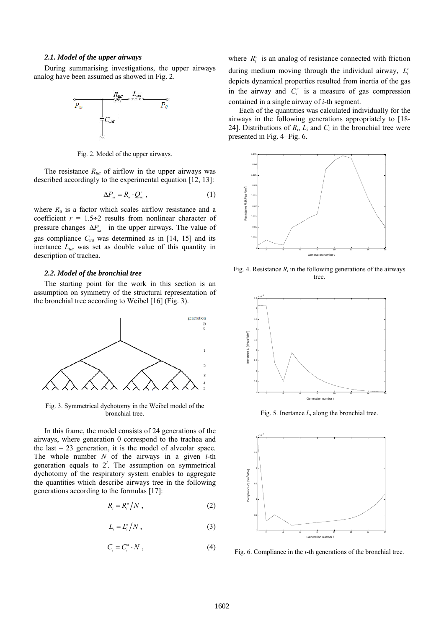## *2.1. Model of the upper airways*

During summarising investigations, the upper airways analog have been assumed as showed in Fig. 2.



Fig. 2. Model of the upper airways.

The resistance  $R_{ua}$  of airflow in the upper airways was described accordingly to the experimental equation [12, 13]:

$$
\Delta P_{ua} = R_u \cdot Q_{ua}^r \,, \tag{1}
$$

where  $R_u$  is a factor which scales airflow resistance and a coefficient  $r = 1.5 \div 2$  results from nonlinear character of pressure changes  $\Delta P_{\mu a}$  in the upper airways. The value of gas compliance *Cua* was determined as in [14, 15] and its inertance *Lua* was set as double value of this quantity in description of trachea.

# *2.2. Model of the bronchial tree*

The starting point for the work in this section is an assumption on symmetry of the structural representation of the bronchial tree according to Weibel [16] (Fig. 3).



Fig. 3. Symmetrical dychotomy in the Weibel model of the bronchial tree.

In this frame, the model consists of 24 generations of the airways, where generation 0 correspond to the trachea and the last – 23 generation, it is the model of alveolar space. The whole number *N* of the airways in a given *i*-th generation equals to  $2^i$ . The assumption on symmetrical dychotomy of the respiratory system enables to aggregate the quantities which describe airways tree in the following generations according to the formulas [17]:

$$
R_i = R_i^a / N \t\t(2)
$$

$$
L_i = L_i^a / N \tag{3}
$$

$$
C_i = C_i^a \cdot N \tag{4}
$$

where  $R_i^a$  is an analog of resistance connected with friction during medium moving through the individual airway,  $L^a$ depicts dynamical properties resulted from inertia of the gas in the airway and  $C_i^a$  is a measure of gas compression contained in a single airway of *i*-th segment.

Each of the quantities was calculated individually for the airways in the following generations appropriately to [18- 24]. Distributions of  $R_i$ ,  $L_i$  and  $C_i$  in the bronchial tree were presented in Fig. 4−Fig. 6.



Fig. 4. Resistance  $R_i$  in the following generations of the airways tree.



Fig. 5. Inertance *Li* along the bronchial tree.



Fig. 6. Compliance in the *i*-th generations of the bronchial tree.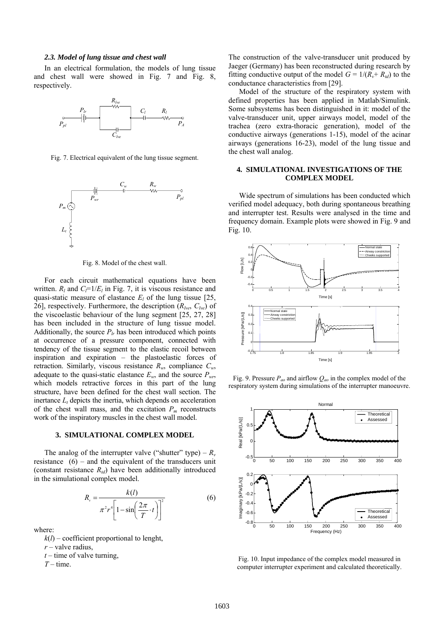## *2.3. Model of lung tissue and chest wall*

In an electrical formulation, the models of lung tissue and chest wall were showed in Fig. 7 and Fig. 8, respectively.



Fig. 7. Electrical equivalent of the lung tissue segment.



Fig. 8. Model of the chest wall.

For each circuit mathematical equations have been written.  $R_l$  and  $C_l = 1/E_l$  in Fig. 7, it is viscous resistance and quasi-static measure of elastance  $E_l$  of the lung tissue [25, 26], respectively. Furthermore, the description  $(R_{lve}, C_{lve})$  of the viscoelastic behaviour of the lung segment [25, 27, 28] has been included in the structure of lung tissue model. Additionally, the source  $P_{lr}$  has been introduced which points at occurrence of a pressure component, connected with tendency of the tissue segment to the elastic recoil between inspiration and expiration – the plastoelastic forces of retraction. Similarly, viscous resistance  $R_w$ , compliance  $C_w$ , adequate to the quasi-static elastance  $E_w$ , and the source  $P_{wr}$ , which models retractive forces in this part of the lung structure, have been defined for the chest wall section. The inertance  $L_t$  depicts the inertia, which depends on acceleration of the chest wall mass, and the excitation  $P_m$  reconstructs work of the inspiratory muscles in the chest wall model.

#### **3. SIMULATIONAL COMPLEX MODEL**

The analog of the interrupter valve ("shutter" type) –  $R_v$ resistance  $(6)$  – and the equivalent of the transducers unit (constant resistance  $R_{td}$ ) have been additionally introduced in the simulational complex model.

$$
R_{v} = \frac{k(l)}{\pi^{2}r^{4}\left[1-\sin\left(\frac{2\pi}{T}\cdot t\right)\right]^{2}}
$$
(6)

where:

 $k(l)$  – coefficient proportional to lenght,

*r* – valve radius,

 $t$  – time of valve turning,

 $T$  – time.

The construction of the valve-transducer unit produced by Jaeger (Germany) has been reconstructed during research by fitting conductive output of the model  $G = 1/(R_v + R_{td})$  to the conductance characteristics from [29].

Model of the structure of the respiratory system with defined properties has been applied in Matlab/Simulink. Some subsystems has been distinguished in it: model of the valve-transducer unit, upper airways model, model of the trachea (zero extra-thoracic generation), model of the conductive airways (generations 1-15), model of the acinar airways (generations 16-23), model of the lung tissue and the chest wall analog.

## **4. SIMULATIONAL INVESTIGATIONS OF THE COMPLEX MODEL**

Wide spectrum of simulations has been conducted which verified model adequacy, both during spontaneous breathing and interrupter test. Results were analysed in the time and frequency domain. Example plots were showed in Fig. 9 and Fig. 10.



Fig. 9. Pressure *Pao* and airflow *Qao* in the complex model of the respiratory system during simulations of the interrupter manoeuvre.



Fig. 10. Input impedance of the complex model measured in computer interrupter experiment and calculated theoretically.